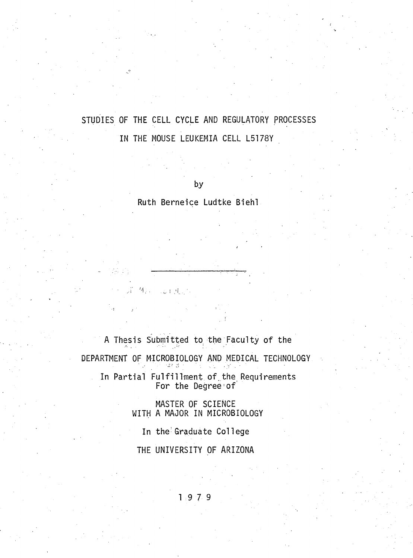# **STUDIES OF THE CELL CYCLE AND REGULATORY PROCESSES IN THE MOUSE LEUKEMIA CELL L5178Y**

**by**

**Ruth Berneice Ludtke Biehl**

A Thesis Submitted to the Faculty of the **DEPARTMENT OF MICROBIOLOGY AND MEDICAL TECHNOLOGY** In Partial Fulfillment of the Requirements For the Degree of

图), Land.

**MASTER OF SCIENCE WITH A MAJOR IN MICROBIOLOGY**

In the Graduate College

**THE UNIVERSITY OF ARIZONA**

**1 9 7 9**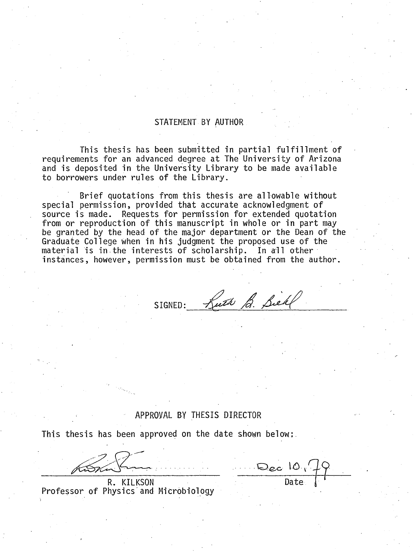### **STATEMENT BY AUTHOR**

This thesis has been submitted in partial fulfillment of requirements for an advanced degree at The University of Arizona and is deposited in the University Library to be made available to borrowers under rules of the Library.

Brief quotations from this thesis are allowable without special permission, provided that accurate acknowledgment of source is made. Requests for permission for extended quotation from or reproduction of this manuscript in whole or in part may be granted by the head of the major department or the Dean of the Graduate College when in his judgment the proposed use of the material is in the interests of scholarship. In all other **instances, however, permission must be obtained from the author.**

SIGNED: Kuth B. Siehl

## **APPROVAL BY THESIS DIRECTOR**

This thesis has been approved on the date shown below:

**R. KILKSON** Professor of Physics and Microbiology

Dec 10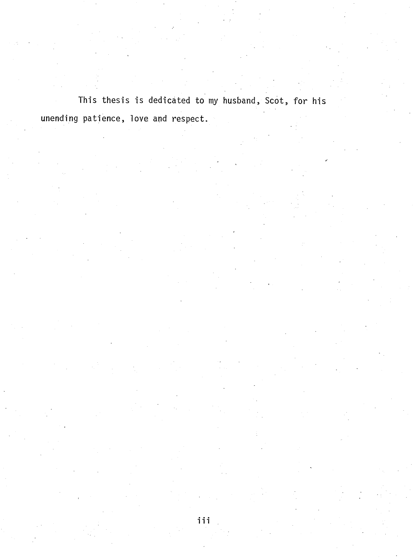This thesis is dedicated to my husband, Scot, for his unending patience, love and respect.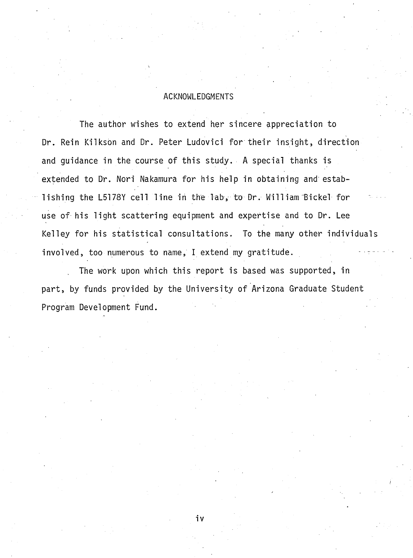# **ACKNOWLEDGMENTS**

The author wishes to extend her sincere appreciation to Dr. Rein Kilkson and Dr. Peter Ludovici for their insight, direction and guidance in the course of this study. A special thanks is extended to Dr. Nori Nakamura for his help in obtaining and establishing the L5178Y cell line in the Tab, to Dr. William Bickel for use of his light scattering equipment and expertise and to Dr. Lee Kelley for his statistical consultations. To the many other individuals involved, too numerous to name, I extend my gratitude.

The work upon which this report is based was supported, in part, by funds provided by the University of Arizona Graduate Student **Program Development Fund.**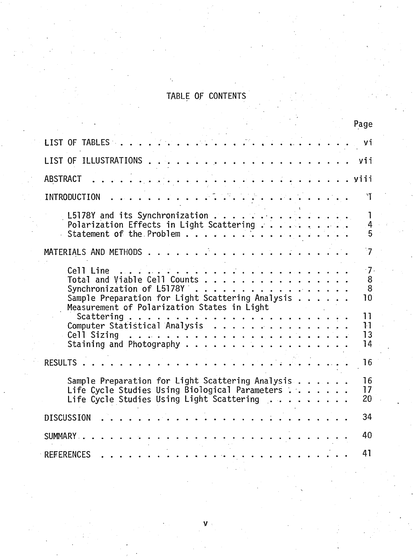# TABLE OF CONTENTS

|          |                                                                                                                                                          |                                                                                                                                                                                                                                                                                                                                                                                                                                                                        |                                                                                                                                                                                                                                      |  |  |  | Page                                      |
|----------|----------------------------------------------------------------------------------------------------------------------------------------------------------|------------------------------------------------------------------------------------------------------------------------------------------------------------------------------------------------------------------------------------------------------------------------------------------------------------------------------------------------------------------------------------------------------------------------------------------------------------------------|--------------------------------------------------------------------------------------------------------------------------------------------------------------------------------------------------------------------------------------|--|--|--|-------------------------------------------|
|          | LIST OF TABLES.                                                                                                                                          |                                                                                                                                                                                                                                                                                                                                                                                                                                                                        |                                                                                                                                                                                                                                      |  |  |  | Уĺ                                        |
|          | LIST OF ILLUSTRATIONS                                                                                                                                    |                                                                                                                                                                                                                                                                                                                                                                                                                                                                        |                                                                                                                                                                                                                                      |  |  |  | yii                                       |
| ABSTRACT |                                                                                                                                                          | من كانت المناسب المناسب المناسب المناسب المناسب المناسب المناسب                                                                                                                                                                                                                                                                                                                                                                                                        |                                                                                                                                                                                                                                      |  |  |  | $\ldots$ , viii                           |
|          | <b>INTRODUCTION</b>                                                                                                                                      | $\mathcal{L}^{\mathcal{A}}\left(\mathcal{A}^{\mathcal{A}}\right) = \mathcal{L}^{\mathcal{A}}\left(\mathcal{A}^{\mathcal{A}}\right) = \mathcal{L}^{\mathcal{A}}\left(\mathcal{A}^{\mathcal{A}}\right) = \mathcal{L}^{\mathcal{A}}\left(\mathcal{A}^{\mathcal{A}}\right) = \mathcal{L}^{\mathcal{A}}\left(\mathcal{A}^{\mathcal{A}}\right) = \mathcal{L}^{\mathcal{A}}\left(\mathcal{A}^{\mathcal{A}}\right) = \mathcal{L}^{\mathcal{A}}\left(\mathcal{A}^{\mathcal{A}}$ |                                                                                                                                                                                                                                      |  |  |  | ١T                                        |
|          | Statement of the Problem                                                                                                                                 |                                                                                                                                                                                                                                                                                                                                                                                                                                                                        |                                                                                                                                                                                                                                      |  |  |  | 1<br>4<br>5                               |
|          |                                                                                                                                                          |                                                                                                                                                                                                                                                                                                                                                                                                                                                                        |                                                                                                                                                                                                                                      |  |  |  | $^{\circ}7$                               |
|          | Cell Line<br>Total and Viable Cell Counts<br>Synchronization of $L5178Y$<br>Sample Preparation for Light Scattering Analysis $\ldots$                    | 20 S 20                                                                                                                                                                                                                                                                                                                                                                                                                                                                | <u> The property of the property of the property of the property of the property of the property of the property of the property of the property of the property of the property of the property of the property of the property</u> |  |  |  | $-7.$<br>$\bf 8$<br>8<br>10 <sup>10</sup> |
|          | Measurement of Polarization States in Light<br>Computer Statistical Analysis<br>Cell Sizing                                                              | كما في أنها الحرام الحرام الحرام الحرام الحرام الحرام الحرام الحرام الحرام الحرام الحرام الحرام الحرام الحرام                                                                                                                                                                                                                                                                                                                                                          |                                                                                                                                                                                                                                      |  |  |  | 11<br>11<br>13<br>14                      |
|          | RESULTS .                                                                                                                                                |                                                                                                                                                                                                                                                                                                                                                                                                                                                                        |                                                                                                                                                                                                                                      |  |  |  | 16                                        |
|          | Sample Preparation for Light Scattering Analysis<br>Life Cycle Studies Using Biological Parameters<br>Life Cycle Studies Using Light Scattering $\ldots$ |                                                                                                                                                                                                                                                                                                                                                                                                                                                                        |                                                                                                                                                                                                                                      |  |  |  | 16<br>17<br>20                            |
|          | <b>DISCUSSION</b>                                                                                                                                        |                                                                                                                                                                                                                                                                                                                                                                                                                                                                        |                                                                                                                                                                                                                                      |  |  |  | 34                                        |
|          | SUMMARY .                                                                                                                                                |                                                                                                                                                                                                                                                                                                                                                                                                                                                                        | $\sim$ $\sim$ $\sim$ $\sim$                                                                                                                                                                                                          |  |  |  | 40                                        |
|          | <b>REFERENCES</b>                                                                                                                                        |                                                                                                                                                                                                                                                                                                                                                                                                                                                                        |                                                                                                                                                                                                                                      |  |  |  | 41                                        |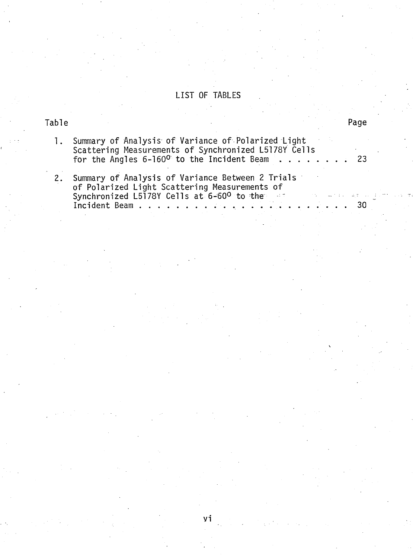# LIST OF TABLES

# Table

30

| 1. Summary of Analysis of Variance of Polarized Light                                                             |  |
|-------------------------------------------------------------------------------------------------------------------|--|
| Scattering Measurements of Synchronized L5178Y Cells<br>for the Angles 6-160 <sup>0</sup> to the Incident Beam 23 |  |
|                                                                                                                   |  |

 $2.$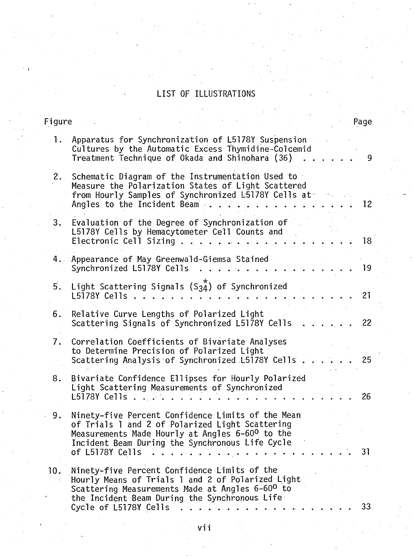# LIST OF ILLUSTRATIONS

# Figure

| $\mathbf{L}$ | Apparatus for Synchronization of L5178Y Suspension<br>Cultures by the Automatic Excess Thymidine-Colcemid<br>Treatment Technique of Okada and Shinohara (36)                                                                  | 9  |
|--------------|-------------------------------------------------------------------------------------------------------------------------------------------------------------------------------------------------------------------------------|----|
| 2.           | Schematic Diagram of the Instrumentation Used to<br>Measure the Polarization States of Light Scattered<br>from Hourly Samples of Synchronized E5178Y Cells at -<br>Angles to the Incident Beam                                | 12 |
| 3.           | Evaluation of the Degree of Synchronization of<br>L5178Y Cells by Hemacytometer Cell Counts and<br>Electronic Cell Sizing $\ldots$                                                                                            | 18 |
|              | 4. Appearance of May Greenwald-Giemsa Stained<br>Synchronized L5178Y Cells                                                                                                                                                    | 19 |
| 5.           | Light Scattering Signals $(S_34*)$ of Synchronized<br>L5178Y Cells .                                                                                                                                                          | 21 |
| 6.           | Relative Curve Lengths of Polarized Light<br>Scattering Signals of Synchronized L5178Y Cells                                                                                                                                  | 22 |
| 7.           | Correlation Coefficients of Bivariate Analyses<br>to Determine Precision of Polarized Light<br>Scattering Analysis of Synchronized L5178Y Cells.                                                                              | 25 |
| 8.           | Bivariate Confidence Ellipses for Hourly Polarized<br>Light Scattering Measurements of Synchronized<br>$L5178Y$ Cells $\ldots$                                                                                                | 26 |
| 9.           | Ninety-five Percent Confidence Limits of the Mean<br>of Trials 1 and 2 of Polarized Light Scattering<br>Measurements Made Hourly at Angles 6-60° to the<br>Incident Beam During the Synchronous Life Cycle<br>of L5178Y Cells | 31 |
| 10.          | Ninety-five Percent Confidence Limits of the<br>Hourly Means of Trials 1 and 2 of Polarized Light<br>Scattering Measurements Made at Angles 6-600 to<br>the Incident Beam During the Synchronous Life                         |    |
|              | Cycle of L5178Y Cells                                                                                                                                                                                                         | 33 |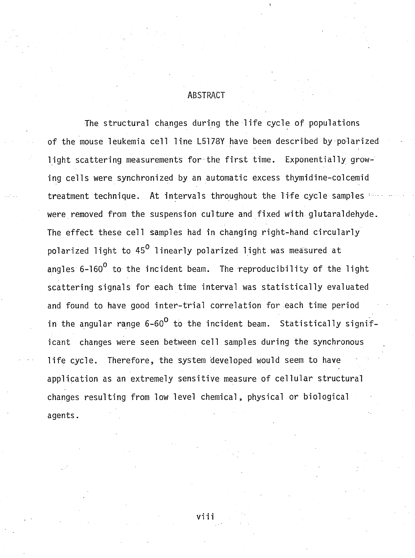# **ABSTRACT**

The structural changes during the life cycle of populations of the mouse leukemia cell line L5178Y have been described by polarized light scattering measurements for the first time. Exponentially growing cells were synchronized by an automatic excess thymidine-colcemid treatment technique. At intervals throughout the life cycle samples : were removed from the suspension culture and fixed with glutaraldehyde. The effect these cell samples had in changing right-hand circularly polarized light to 45<sup>0</sup> linearly polarized light was measured at angles 6-160<sup>0</sup> to the incident beam. The reproducibility of the light scattering signals for each time interval was statistically evaluated and found to have good inter-trial correlation for each time period in the angular range 6-60<sup>0</sup> to the incident beam. Statistically significant changes were seen between cell samples during the synchronous life cycle. Therefore, the system developed would seem to have application as an extremely sensitive measure of cellular structural changes resulting from low level chemical, physical or biological **agents.**

viii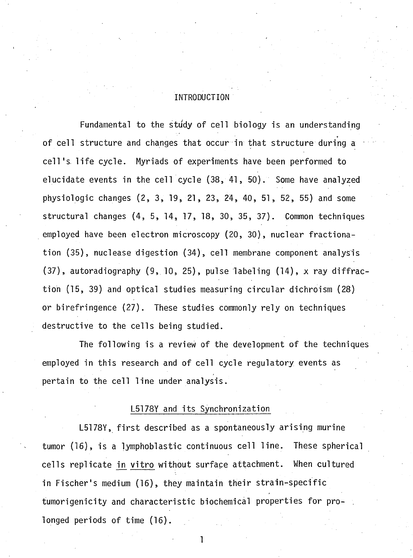# **INTRODUCTION**

Fundamental to the study of cell biology is an understanding of cell structure and changes that occur in that structure during a cell's life cycle. Myriads of experiments have been performed to **elucidate events in the cell cycle (38, 41, 50).** Some have analyzed **physiologic changes (2 , 3 , 19, 21, 23, 24, 40, 51, 52, 55) and some** structural changes (4, 5, 14, 17, 18, 30, 35, 37). Common techniques employed have been electron microscopy (20, 30), nuclear fractionation (35), nuclease digestion (34), cell membrane component analysis (37), autoradiography (9, 10, 25), pulse labeling (14), x ray diffraction (15, 39) and optical studies measuring circular dichroism (28) or birefringence (27). These studies commonly rely on techniques **d e s tru c tiv e to the c e lls being studied.**

The following is a review of the development of the techniques employed in this research and of cell cycle regulatory events as pertain to the cell line under analysis.

## **L5178Y and its Synchronization**

L5178Y, first described as a spontaneously arising murine tumor (16), is a lymphoblastic continuous cell line. These spherical cells replicate in vitro without surface attachment. When cultured in Fischer's medium (16), they maintain their strain-specific tumorigenicity and characteristic biochemical properties for prolonged periods of time (16).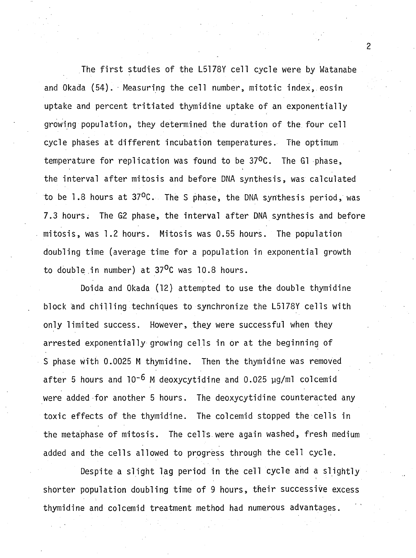The first studies of the L5178Y cell cycle were by Watanabe and Okada (54). Measuring the cell number, mitotic index, eosin uptake and percent tritiated thymidine uptake of an exponentially growing population, they determined the duration of the four cell cycle phases at different incubation temperatures. The optimum temperature for replication was found to be 37°C. The G1 phase, the interval after mitosis and before DNA synthesis, was calculated to be 1.8 hours at 37<sup>o</sup>C. The S phase, the DNA synthesis period, was 7.3 hours. The G2 phase, the interval after DNA synthesis and before mitosis, was 1.2 hours. Mitosis was 0.55 hours. The population doubling time (average time for a population in exponential growth to double in number) at 37<sup>o</sup>C was 10.8 hours.

**Doida and Okada (12) attempted to use the double thymidine** block and chilling techniques to synchronize the L5178Y cells with only limited success. However, they were successful when they arrested exponentially growing cells in or at the beginning of S phase with 0.0025 M thymidine. Then the thymidine was removed **a fte r 5 hours and 10-6 jvj deoxycytidine and 0.025 pg/ml colcemid** were added for another 5 hours. The deoxycytidine counteracted any toxic effects of the thymidine. The colcemid stopped the cells in the metaphase of mitosis. The cells were again washed, fresh medium added and the cells allowed to progress through the cell cycle.

Despite a slight lag period in the cell cycle and a slightly shorter population doubling time of 9 hours, their successive excess thymidine and colcemid treatment method had numerous advantages.

 $\overline{c}$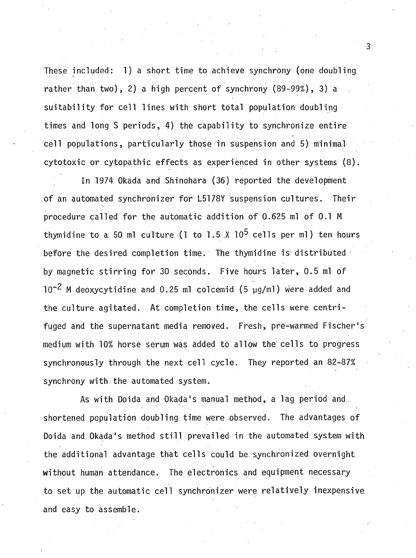**These included: 1) a short time to achieve synchrony (one doubling** rather than two), 2) a high percent of synchrony (89-99%), 3) a suitability for cell lines with short total population doubling times and long S periods, 4) the capability to synchronize entire cell populations, particularly those in suspension and 5) minimal **cyto to xic or cytopathic e ffe c ts as experienced in other systems (8) .**

**In 1974 Okada and Shinohara (36) reported the development** of an automated synchronizer for L5178Y suspension cultures. Their procedure called for the automatic addition of 0.625 ml of 0.1 M thymidine to a 50 ml culture (1 to 1.5  $\chi$  10<sup>5</sup> cells per ml) ten hours before the desired completion time. The thymidine is distributed by magnetic stirring for 30 seconds. Five hours later, 0.5 ml of  $10^{-2}$  M deoxycytidine and 0.25 ml colcemid (5  $\mu$ g/ml) were added and the culture agitated. At completion time, the cells were centrifuged and the supernatant media removed. Fresh, pre-warmed Fischer's **medium w ith 10% horse serum was added to allow the c e lls to progress** synchronously through the next cell cycle. They reported an 82-87% synchrony with the automated system.

As with Doida and Okada's manual method, a lag period and. shortened population doubling time were observed. The advantages of Doida and Okada's method still prevailed in the automated system with the additional advantage that cells could be synchronized overnight without human attendance. The electronics and equipment necessary to set up the automatic cell synchronizer were relatively inexpensive **and easy to assemble.**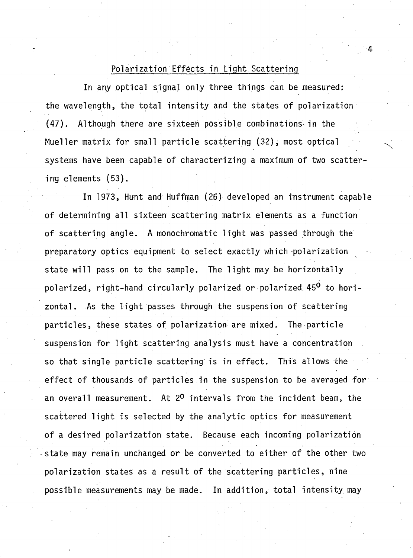## Polarization Effects in Light Scattering

In any optical signal only three things can be measured: the wavelength, the total intensity and the states of polarization **(4 7 ). Although there are sixteen possible combinations^ in the** Mueller matrix for small particle scattering (32), most optical systems have been capable of characterizing a maximum of two scatter**ing elements (53).** 

**In 1973, Hunt and Huffman (26) developed an instrument capable** of determining all sixteen scattering matrix elements as a function of scattering angle. A monochromatic light was passed through the preparatory optics equipment to select exactly which polarization state will pass on to the sample. The light may be horizontally polarized, right-hand circularly polarized or polarized 45<sup>0</sup> to horizontal. As the light passes through the suspension of scattering particles, these states of polarization are mixed. The particle suspension for light scattering analysis must have a concentration so that single particle scattering is in effect. This allows the effect of thousands of particles in the suspension to be averaged for an overall measurement. At 2<sup>0</sup> intervals from the incident beam, the scattered light is selected by the analytic optics for measurement of a desired polarization state. Because each incoming polarization state may remain unchanged or be converted to either of the other two polarization states as a result of the scattering particles, nine possible measurements may be made. In addition, total intensity may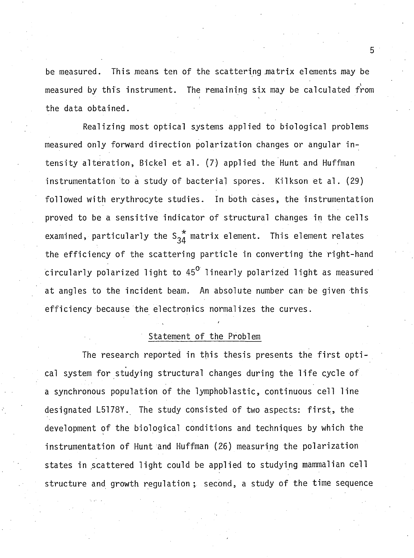be measured. This means ten of the scattering matrix elements may be measured by this instrument. The remaining six may be calculated from **the data obtained.**

Realizing most optical systems applied to biological problems measured only forward direction polarization changes or angular intensity alteration, Bickel et al. (7) applied the Hunt and Huffman instrum entation to a study of bacterial spores. Kilkson et al. (29) followed with erythrocyte studies. In both cases, the instrumentation proved to be a sensitive indicator of structural changes in the cells examined, particularly the  $S_{34}^*$  matrix element. This element relates the efficiency of the scattering particle in converting the right-hand circularly polarized light to 45<sup>0</sup> linearly polarized light as measured at angles to the incident beam. An absolute number can be given this efficiency because the electronics normalizes the curves.

#### Statement of the Problem

**'**

The research reported in this thesis presents the first optical system for studying structural changes during the life cycle of **a** synchronous population of the lymphoblastic, continuous cell line designated L5178Y. The study consisted of two aspects: first, the development of the biological conditions and techniques by which the instrumentation of Hunt and Huffman (26) measuring the polarization states in scattered light could be applied to studying mammalian cell structure and growth regulation; second, a study of the time sequence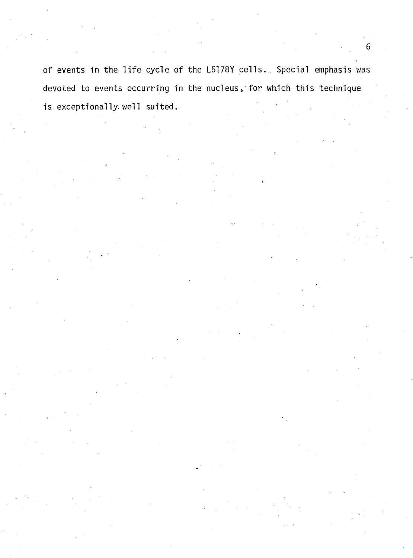of events in the life cycle of the L5178Y cells. Special emphasis was devoted to events occurring in the nucleus, for which this technique is exceptionally well suited.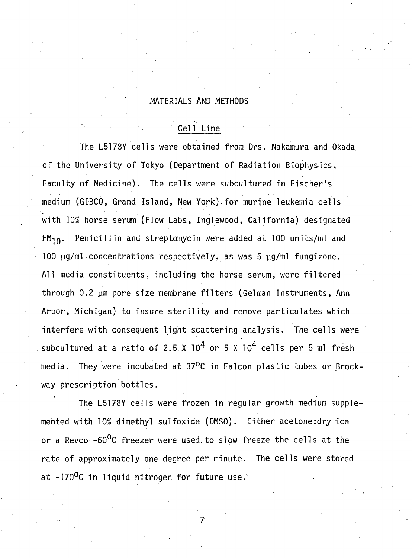## **MATERIALS AND METHODS**

# **Cell Line**

The L5178Y cells were obtained from Drs. Nakamura and Okada of the University of Tokyo (Department of Radiation Biophysics, Faculty of Medicine). The cells were subcultured in Fischer's medium (GIBCO, Grand Island, New York) for murine leukemia cells with 10% horse serum (Flow Labs, Inglewood, California) designated **FM<sub>10</sub>.** Penicillin and streptomycin were added at 100 units/ml and 100 µg/ml.concentrations respectively, as was 5 µg/ml fungizone. All media constituents, including the horse serum, were filtered through 0.2 µm pore size membrane filters (Gelman Instruments, Ann Arbor, Michigan) to insure sterility and remove particulates which interfere with consequent light scattering analysis. The cells were subcultured at a ratio of 2.5 X  $10^4$  or 5 X  $10^4$  cells per 5 ml fresh media. They were incubated at 37<sup>O</sup>C in Falcon plastic tubes or Brockway prescription bottles.

The L5178Y cells were frozen in regular growth medium supplemented with 10% dimethyl sulfoxide (DMSO). Either acetone:dry ice or a Revco -60<sup>0</sup>C freezer were used to slow freeze the cells at the rate of approximately one degree per minute. The cells were stored at -170<sup>0</sup>C in liquid nitrogen for future use.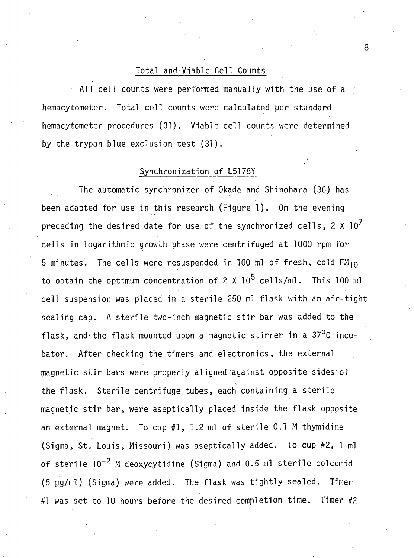### **Total and V iable Cell Counts .**

All cell counts were performed manually with the use of a hemacytometer. Total cell counts were calculated per standard hemacytometer procedures (31). Viable cell counts were determined by the trypan blue exclusion test (31).

# Synchronization of L5178Y

The automatic synchronizer of Okada and Shinohara (36) has been adapted for use in this research (Figure 1). On the evening preceding the desired date for use of the synchronized cells,  $2 \times 10^7$ cells in logarithmic growth phase were centrifuged at 1000 rpm for 5 minutes. The cells were resuspended in 100 ml of fresh, cold  $FM_{10}$ to obtain the optimum concentration of 2 X 10<sup>5</sup> cells/ml. This 100 ml cell suspension was placed in a sterile 250 ml flask with an air-tight sealing cap. A sterile two-inch magnetic stir bar was added to the flask, and the flask mounted upon a magnetic stirrer in a 37<sup>o</sup>C incubator. After checking the timers and electronics, the external magnetic stir bars were properly aligned against opposite sides of the flask. Sterile centrifuge tubes, each containing a sterile magnetic stir bar, were aseptically placed inside the flask opposite an external magnet. To cup #1, 1.2 ml of sterile 0.1 M thymidine (Sigma, St. Louis, Missouri) was aseptically added. To cup #2, 1 ml of sterile 10<sup>-2</sup> M deoxycytidine (Sigma) and 0.5 ml sterile colcemid (5 µg/ml) (Sigma) were added. The flask was tightly sealed. Timer #1 was set to 10 hours before the desired completion time. Timer #2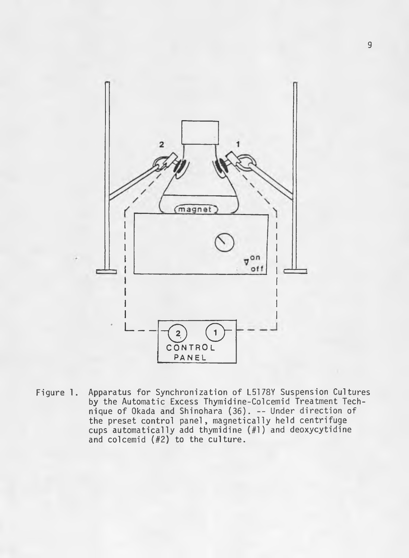

Apparatus for Synchronization of L5178Y Suspension Cultures Figure 1. by the Automatic Excess Thymidine-Colcemid Treatment Tech-<br>nique of Okada and Shinohara (36). -- Under direction of the preset control panel, magnetically held centrifuge cups automatically add thymidine (#1) and deoxycytidine and colcemid  $(H2)$  to the culture.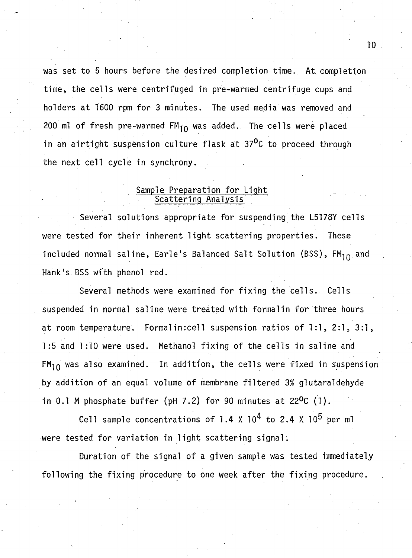was set to 5 hours before the desired completion time. At completion time, the cells were centrifuged in pre-warmed centrifuge cups and holders at 1600 rpm for 3 minutes. The used media was removed and 200 ml of fresh pre-warmed FM<sub>10</sub> was added. The cells were placed in an airtight suspension culture flask at 37<sup>0</sup>C to proceed through the next cell cycle in synchrony.

## <u>Sample Preparation for Light</u> <u>Scattering Analysis</u>

Several solutions appropriate for suspending the L5178Y cells were tested for their inherent light scattering properties. These included normal saline, Earle's Balanced Salt Solution (BSS), FM<sub>10</sub> and Hank's BSS with phenol red.

Several methods were examined for fixing the cells. Cells suspended in normal saline were treated with formalin for three hours at room temperature. Formalin:cell suspension ratios of 1:1, 2:1, 3:1, **1:5 and 1:10 were used. Methanol fixing of the cells in saline and** FM<sub>10</sub> was also examined. In addition, the cells were fixed in suspension by addition of an equal volume of membrane filtered 3% glutaraldehyde in 0.1 M phosphate buffer (pH 7.2) for 90 minutes at  $22^{\circ}C$  (1).

Cell sample concentrations of 1.4 X  $10^4$  to 2.4 X  $10^5$  per ml were tested for variation in light scattering signal.

Duration of the signal of a given sample was tested immediately following the fixing procedure to one week after the fixing procedure.

**TO**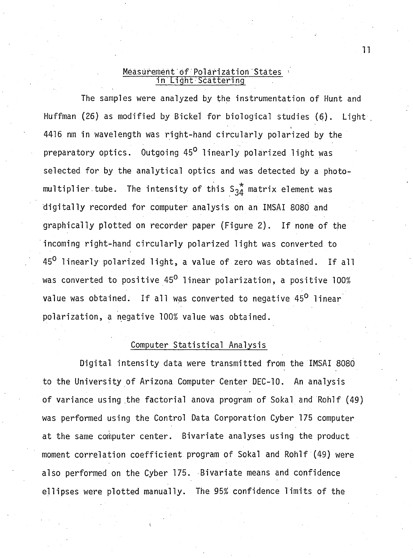#### <u>Measurement of Polarization States</u> • **in L ig h t•S catter!ng**

The samples were analyzed by the instrumentation of Hunt and Huffman (26) as modified by Bickel for biological studies (6). Light 4416 nm in wavelength was right-hand circularly polarized by the preparatory optics. Outgoing 45<sup>0</sup> linearly polarized light was selected for by the analytical optics and was detected by a photomultiplier tube. The intensity of this  $S_{34}^*$  matrix element was digitally recorded for computer analysis on an IMSAI 8080 and graphically plotted on recorder paper (Figure 2). If none of the incoming right-hand circularly polarized light was converted to 45<sup>0</sup> linearly polarized light, a value of zero was obtained. If all was converted to positive 45<sup>0</sup> linear polarization, a positive 100% value was obtained. If all was converted to negative 45<sup>0</sup> linear **p o la riz a tio n , a negative 100% value was obtained.**

# **Computer Statistical Analysis**

Digital intensity data were transmitted from the IMSAI 8080 to the University of Arizona Computer Center DEC-10. An analysis of variance using the factorial anova program of Sokal and Rohlf (49) **was performed using the Control Data Corporation Cyber 175 computer** at the same computer center. Bivariate analyses using the product moment correlation coefficient program of Sokal and Rohlf (49) were also performed on the Cyber 175. Bivariate means and confidence ellipses were plotted manually. The 95% confidence limits of the

**l**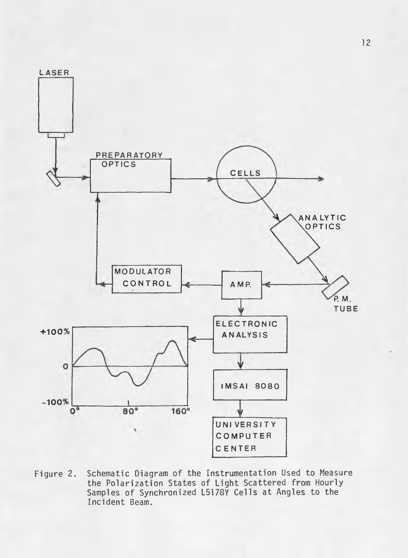

Schematic Diagram of the Instrumentation Used to Measure Figure 2. the Polarization States of Light Scattered from Hourly<br>Samples of Synchronized L5178Y Cells at Angles to the Incident Beam.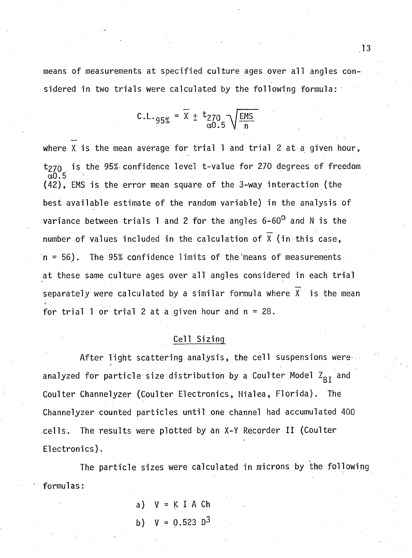means of measurements at specified culture ages over all angles considered in two trials were calculated by the following formula:

$$
c.L._95\% = \overline{X} \pm \frac{t_{270}}{\alpha 0.5} \sqrt{\frac{ems}{n}}
$$

**where X** is the mean average for trial 1 and trial 2 at a given hour, t<sub>270</sub> is the 95% confidence level t-value for 270 degrees of freedom **a,0.5** (42), EMS is the error mean square of the 3-way interaction (the best available estimate of the random variable) in the analysis of variance between trials 1 and 2 for the angles 6-60<sup>0</sup> and N is the number of values included in the calculation of  $\overline{X}$  (in this case, **n** = 56). The 95% confidence limits of the means of measurements at these same culture ages over all angles considered in each trial separately were calculated by a similar formula where  $\overline{X}$  is the mean for trial 1 or trial 2 at a given hour and  $n = 28$ .

## **Cell S izing**

After light scattering analysis, the cell suspensions wereanalyzed for particle size distribution by a Coulter Model Z<sub>BI</sub> and Coulter Channelyzer (Coulter Electronics, Hialea, Florida). The **Channelyzer counted particles until one channel had accumulated 400** cells. The results were plotted by an X-Y Recorder II (Coulter Electronics).

The particle sizes were calculated in microns by the following **form ulas:**

> **a) V = K I A Ch b) V = 0.523 D3**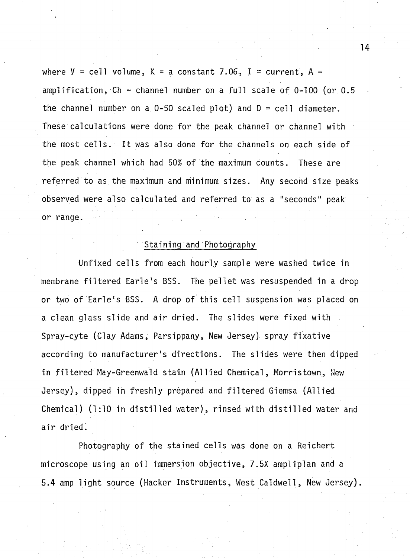where  $V = \text{cell}$  volume,  $K = a$  constant 7.06, I = current, A = amplification, Ch = channel number on a full scale of 0-100 (or 0.5 the channel number on a  $0-50$  scaled plot) and  $D = \text{cell diameter}$ . These calculations were done for the peak channel or channel with the most cells. It was also done for the channels on each side of the peak channel which had 50% of the maximum counts. These are referred to as the maximum and minimum sizes. Any second size peaks **observed were also calcu lated and re fe rre d to as a "seconds" peak** or range.

### **S taining and Photography**

Unfixed cells from each hourly sample were washed twice in membrane filtered Earle's BSS. The pellet was resuspended in a drop or two of Earle's BSS. A drop of this cell suspension was placed on a clean glass slide and air dried. The slides were fixed with Spray-cyte (Clay Adams, Parsippany, New Jersey) spray fixative according to manufacturer's directions. The slides were then dipped in filtered May-Greenwald stain (Allied Chemical, Morristown, New **Jersey), dipped in freshly prepared and filtered Giemsa (Allied** Chemical) (1:10 in distilled water), rinsed with distilled water and air dried.

Photography of the stained cells was done on a Reichert microscope using an oil immersion objective, 7.5X ampliplan and a 5.4 amp light source (Hacker Instruments, West Caldwell, New Jersey).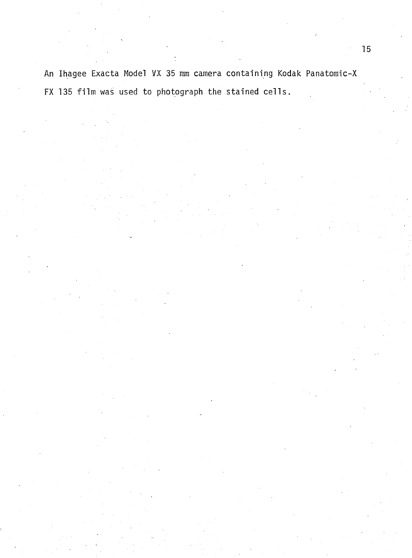**An Ihagee Exacta Model VX 35 mm camera containing Kodak Panatomic-X** FX 135 film was used to photograph the stained cells.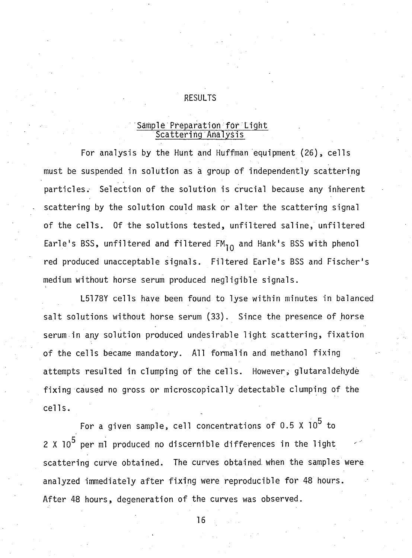# **RESULTS**

## Sample Preparation for Light **S c atterin g Analysis**

For analysis by the Hunt and Huffman equipment (26), cells must be suspended in solution as a group of independently scattering particles. Selection of the solution is crucial because any inherent scattering by the solution could mask or alter the scattering signal of the cells. Of the solutions tested, unfiltered saline, unfiltered Earle's BSS, unfiltered and filtered  $FM_{10}$  and Hank's BSS with phenol red produced unacceptable signals. Filtered Earle's BSS and Fischer's medium without horse serum produced negligible signals.

**L5178Y cells have been found to lyse within minutes in balanced** salt solutions without horse serum (33). Since the presence of horse serum in any solution produced undesirable light scattering, fixation of the cells became mandatory. All formalin and methanol fixing attempts resulted in clumping of the cells. However, glutaraldehyde fixing caused no gross or microscopically detectable clumping of the **c e lls .**

**5 For a given sample, c e ll concentrations o f 0 .5 X 10 to** *n* 2 X 10° per ml produced no discernible differences in the light **s c a tte rin g curve obtained. The curves obtained, when the samples were** analyzed immediately after fixing were reproducible for 48 hours. After 48 hours, degeneration of the curves was observed.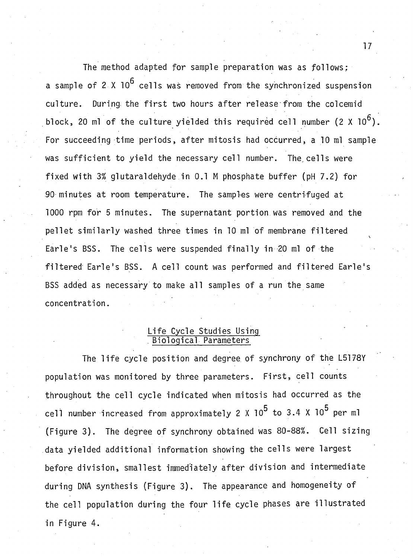The method adapted for sample preparation was as follows: **a** sample of 2 X 10<sup>6</sup> cells was removed from the synchronized suspension culture. During the first two hours after release from the colcemid block, 20 ml of the culture yielded this required cell number  $(2 \times 10^6)$ . For succeeding time periods, after mitosis had occurred, a 10 ml sample was sufficient to yield the necessary cell number. The cells were fixed with 3% glutaraldehyde in 0.1 M phosphate buffer (pH 7.2) for 90 minutes at room temperature. The samples were centrifuged at 1000 rpm for 5 minutes. The supernatant portion was removed and the pellet similarly washed three times in 10 ml of membrane filtered Earle's BSS. The cells were suspended finally in 20 ml of the filtered Earle's BSS. A cell count was performed and filtered Earle's BSS added as necessary to make all samples of a run the same **con centration.**

## **L ife Cycle Studies Using . B io lo g ical Parameters**

The life cycle position and degree of synchrony of the L5178Y population was monitored by three parameters. First, cell counts throughout the cell cycle indicated when mitosis had occurred as the cell number increased from approximately 2 X 10<sup>5</sup> to 3.4 X 10<sup>5</sup> per ml (Figure 3). The degree of synchrony obtained was 80-88%. Cell sizing data yielded additional information showing the cells were largest before division, smallest immediately after division and intermediate during DNA synthesis (Figure 3). The appearance and homogeneity of the cell population during the four life cycle phases are illustrated **in Figure 4.**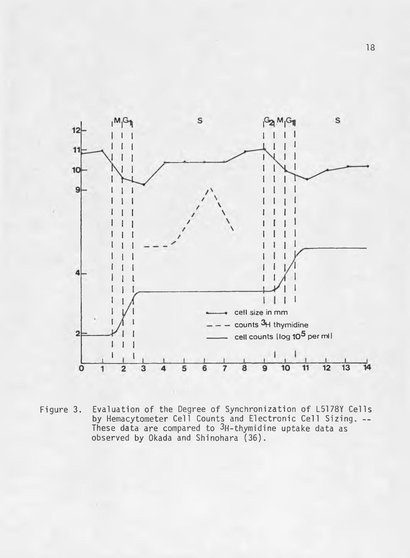

Evaluation of the Degree of Synchronization of L5178Y Cells<br>by Hemacytometer Cell Counts and Electronic Cell Sizing. --Figure 3. These data are compared to 3H-thymidine uptake data as observed by Okada and Shinohara (36).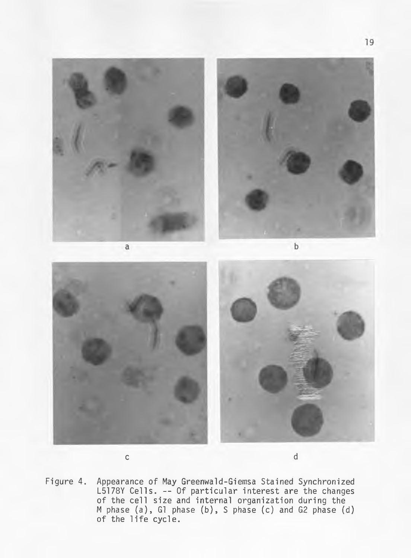

**c d**

**Figure 4. Appearance of May Greenwald-Giemsa Stained Synchronized** L5178Y Cells. -- Of particular interest are the changes of the cell size and internal organization during the **M phase ( a ), G1 phase (b ), S phase (c) and G2 phase (d) of the l i f e cycle.**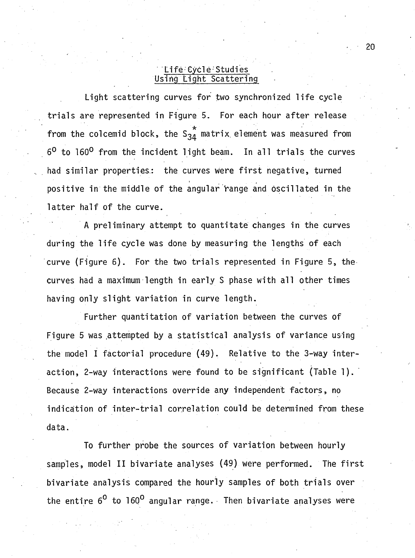#### **L ife Cycle Studies** <u>Using Light Scattering</u>

Light scattering curves for *two* synchronized life cycle trials are represented in Figure 5. For each hour after release **\* from the colcemid block, the S34 m atrix, element was measured from** 6<sup>0</sup> to 160<sup>0</sup> from the incident light beam. In all trials the curves had similar properties: the curves were first negative, turned positive in the middle of the angular range and oscillated in the latter half of the curve.

A preliminary attempt to quantitate changes in the curves during the life cycle was done by measuring the lengths of each **curve (Figure 6). For the two trials represented in Figure 5, the** curves had a maximum length in early S phase with all other times having only slight variation in curve length.

Further quantitation of variation between the curves of Figure 5 was attempted by a statistical analysis of variance using the model I factorial procedure (49). Relative to the 3-way inter**action, 2-way interactions were found to be significant (Table 1).** Because 2-way interactions override any independent factors, no indication of inter-trial correlation could be determined from these **data.**

To further probe the sources of variation between hourly samples, model II bivariate analyses (49) were performed. The first bivariate analysis compared the hourly samples of both trials over the entire 6<sup>0</sup> to 160<sup>0</sup> angular range. Then bivariate analyses were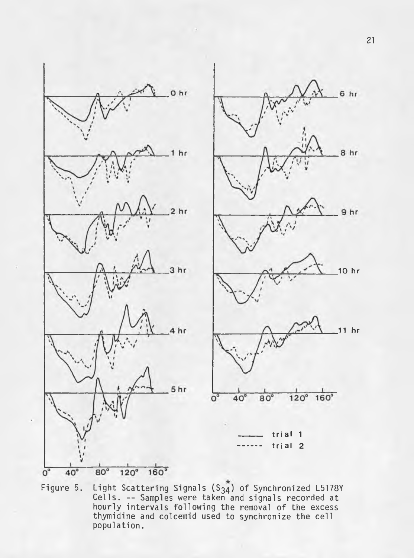



**Figure 5. Light S catterin g Signals (S34) of Synchronized L5178Y C e lls . — Samples were taken and signals recorded a t** hourly intervals following the removal of the excess thymidine and colcemid used to synchronize the cell **population.**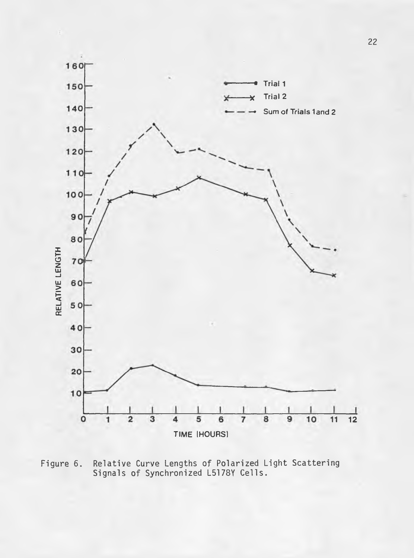

Relative Curve Lengths of Polarized Light Scattering<br>Signals of Synchronized L5178Y Cells. Figure 6.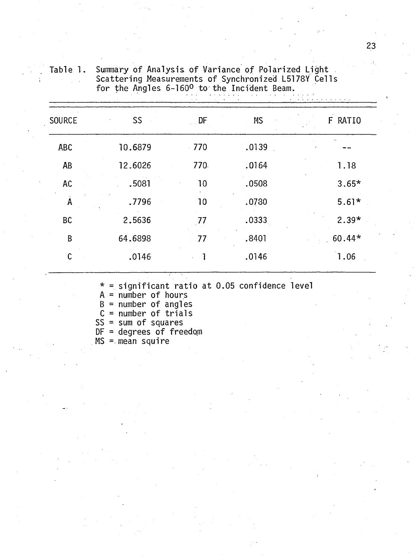| <b>SOURCE</b>           | SS      | DF         | <b>MS</b> | F RATIO  |
|-------------------------|---------|------------|-----------|----------|
| <b>ABC</b>              | 10.6879 | 770        | .0139     |          |
| <b>AB</b>               | 12.6026 | 770.       | .0164     | 1.18     |
| <b>AC</b>               | .5081   | 10         | .0508     | $3.65*$  |
| $\overline{\mathsf{A}}$ | .7796   | 10         | .0780     | $5.61*$  |
| BC                      | 2.5636  | 77         | .0333     | $2.39*$  |
| B                       | 64.6898 | 77         | .8401     | $60.44*$ |
| $\mathsf{C}$            | .0146   | $\cdots$ T | .0146     | 1.06     |
|                         |         |            |           |          |

Summary of Analysis of Variance of Polarized Light<br>Scattering Measurements of Synchronized L5178Y Cells<br>for the Angles 6-160º to the Incident Beam. Table 1.

 $* =$  significant ratio at 0.05 confidence level

 $A = number of hours$ 

 $B = number of angles$ <br>  $C = number of trials$ 

 $SS = sum of squares$ 

 $DF = degrees of freedom$ 

 $MS$  = mean squire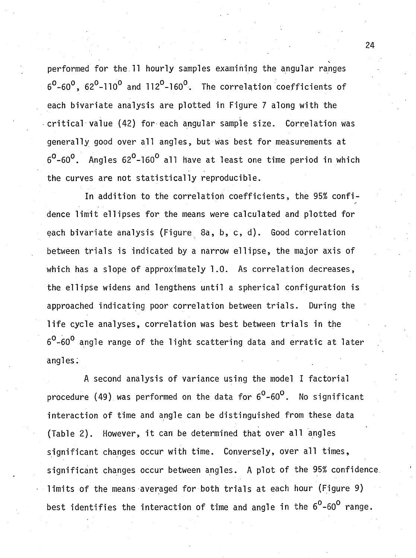performed for the 11 hourly samples examining the angular ranges  $6^{\circ}$ -60<sup>o</sup>, 62<sup>o</sup>-110<sup>o</sup> and 112<sup>o</sup>-160<sup>o</sup>. The correlation coefficients of each bivariate analysis are plotted in Figure 7 along with the **critical value (42) for each angular sample size. Correlation was** generally good over all angles, but was best for measurements at  $6^{\circ}$ -60<sup>o</sup>. Angles 62<sup>o</sup>-160<sup>o</sup> all have at least one time period in which the curves are not statistically reproducible.

In addition to the correlation coefficients, the 95% confidence limit ellipses for the means were calculated and plotted for each bivariate analysis (Figure 8a, b, c, d). Good correlation between trials is indicated by a narrow ellipse, the major axis of which has a slope of approximately 1.0. As correlation decreases, the ellipse widens and lengthens until a spherical configuration is approached indicating poor correlation between trials. During the life cycle analyses, correlation was best between trials in the  $6^{\text{o}}$ -60<sup>0</sup> angle range of the light scattering data and erratic at later **angles:**

A second analysis of variance using the model I factorial procedure (49) was performed on the data for 6<sup>0</sup>-60<sup>0</sup>. No significant interaction of time and angle can be distinguished from these data (Table 2). However, it can be determined that over all angles significant changes occur with time. Conyersely, over all times, significant changes occur between angles. A plot of the 95% confidence. limits of the means averaged for both trials at each hour (Figure 9) best identifies the interaction of time and angle in the 6<sup>0</sup>-60<sup>0</sup> range.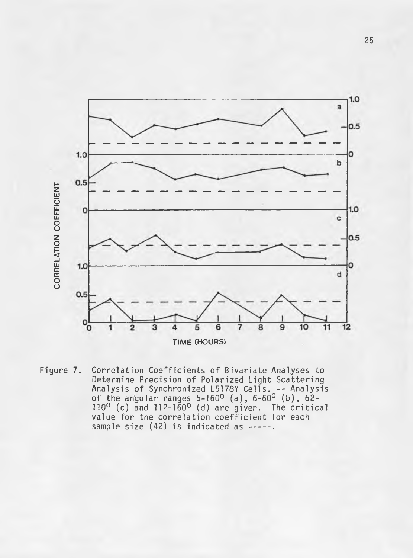

Figure 7. Correlation Coefficients of Bivariate Analyses to **Determine Precision of Polarized Light Scattering** Analysis of Synchronized L5178Y Cells. -- Analysis **o f the angular ranges 5-160° ( a ) , 6-60° ( b ) , 62- 110° (c) and 112-160° (d) are given. The critica** value for the correlation coefficient for each **sample size (42) is indicated as --------.**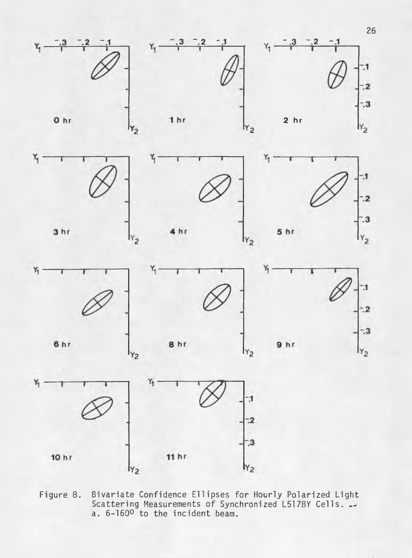











 $Y_2$ 





 $Y_1$ 

 $Y_1$ 

Bivariate Confidence Ellipses for Hourly Polarized Light<br>Scattering Measurements of Synchronized L5178Y Cells. Figure 8. a. 6-160<sup>o</sup> to the incident beam.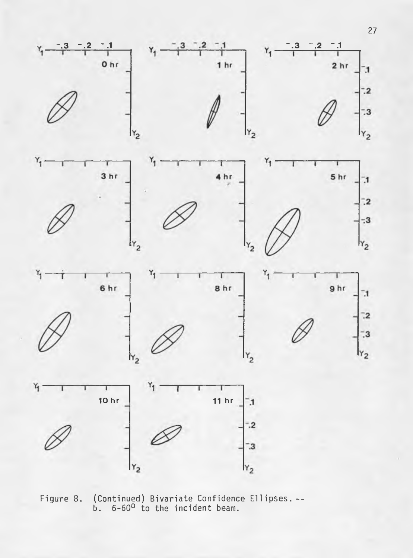

(Continued) Bivariate Confidence Ellipses. --<br>b. 6-60<sup>0</sup> to the incident beam. Figure 8.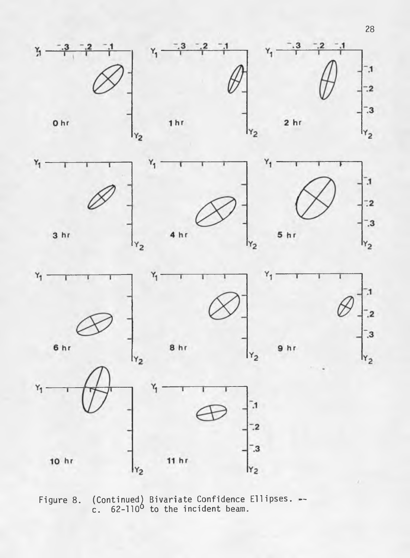









 $Y_2$ 





(Continued) Bivariate Confidence Ellipses. --<br>c. 62-110<sup>0</sup> to the incident beam. Figure 8.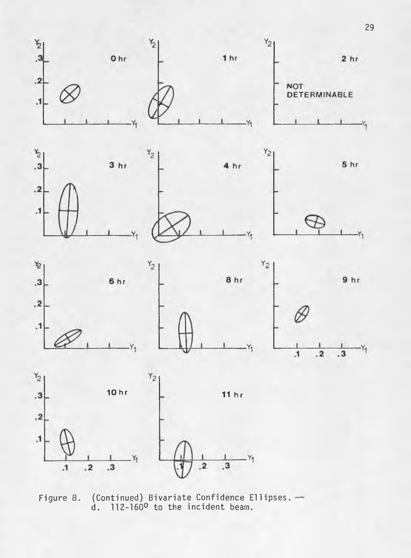

(Continued) Bivariate Confidence Ellipses.  $-$ d. 112-160<sup>o</sup> to the incident beam. Figure 8.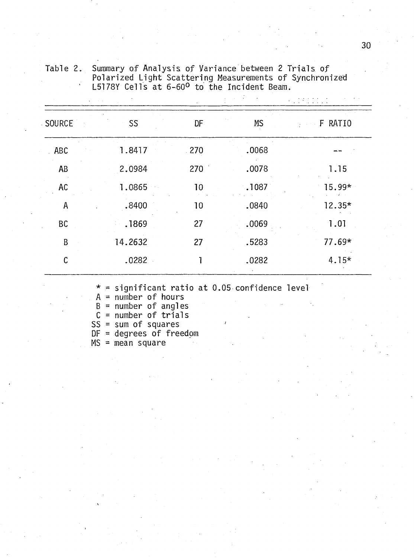| SOURCE        | SS      | DF   | <b>MS</b> | F RATIO  |  |  |
|---------------|---------|------|-----------|----------|--|--|
| ABC           | 1.8417  | .270 | .0068     |          |  |  |
| AB            | 2.0984  | 270  | .0078     | 1.15     |  |  |
| AC            | 1.0865  | 10   | .1087     | 15.99*   |  |  |
| A             | .8400   | 10   | .0840     | $12.35*$ |  |  |
| BC            | .1869   | 27   | .0069     | 1.01     |  |  |
| B             | 14.2632 | 27   | .5283     | 77.69*   |  |  |
| $\mathcal{C}$ | .0282   | 1    | .0282     | $4.15*$  |  |  |
|               |         |      |           |          |  |  |

Summary of Analysis of Variance between 2 Trials of<br>Polarized Light Scattering Measurements of Synchronized<br>L5178Y Cells at 6-60<sup>0</sup> to the Incident Beam. Table 2.

 $*$  = significant ratio at 0.05 confidence level

 $A = number of hours$ <br>  $B = number of angles$ <br>  $C = number of trials$ <br>  $SS = sum of squares$ 

 $DF = degrees of freedom$ 

 $MS = mean square$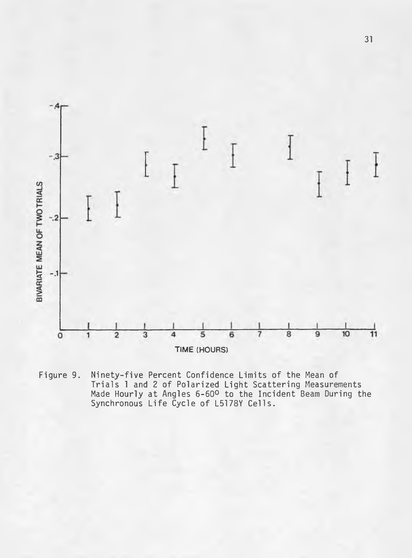

Ninety-five Percent Confidence Limits of the Mean of<br>Trials 1 and 2 of Polarized Light Scattering Measurements<br>Made Hourly at Angles 6-60º to the Incident Beam During the<br>Synchronous Life Cycle of L5178Y Cells. Figure 9.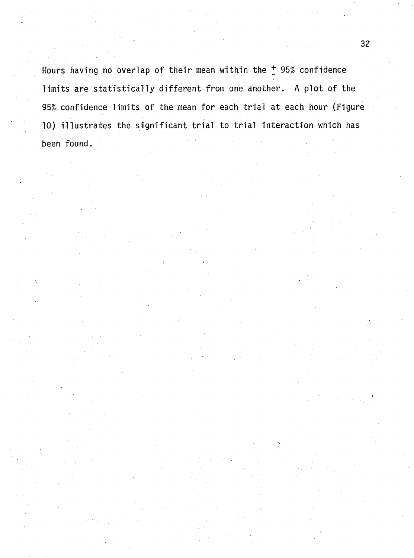Hours having no overlap of their mean within the <sup>+</sup> 95% confidence limits are statistically different from one another. A plot of the 95% confidence limits of the mean for each trial at each hour (Figure 10) illustrates the significant trial to trial interaction which has **been found.**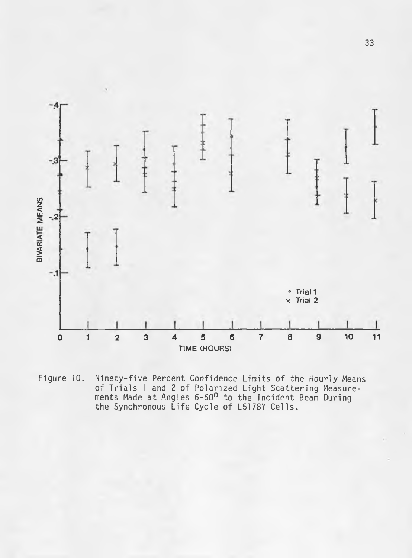

Ninety-five Percent Confidence Limits of the Hourly Means<br>of Trials 1 and 2 of Polarized Light Scattering Measure-<br>ments Made at Angles 6-60<sup>0</sup> to the Incident Beam During<br>the Synchronous Life Cycle of L5178Y Cells. Figure 10.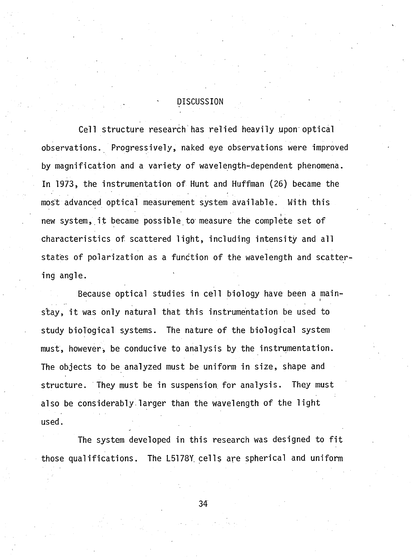#### **. - DISCUSSION**

Cell structure research has relied heavily upon optical observations. Progressively, naked eye observations were improved by magnification and a variety of wavelength-dependent phenomena. In 1973, the instrumentation of Hunt and Huffman (26) became the most advanced optical measurement system available. With this new system, it became possible to measure the complete set of characteristics of scattered light, including intensity and all states of polarization as a function of the wavelength and scatter**ing angle.**

Because optical studies in cell biology have been a mainstay, it was only natural that this instrumentation be used to study biological systems. The nature of the biological system must, however, be conducive to analysis by the instrumentation. The objects to be analyzed must be uniform in size, shape and structure. They must be in suspension for analysis. They must also be considerably larger than the wavelength of the light **used.**

The system developed in this research was designed to fit those qualifications. The L5178Y cells are spherical and uniform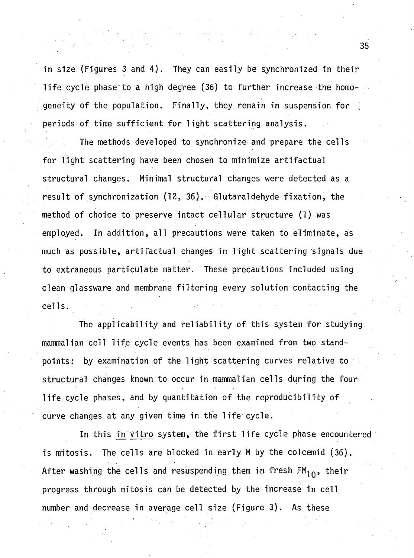in size (Figures 3 and 4). They can easily be synchronized in their life cycle phase to a high degree (36) to further increase the homo**geneity of the population. Finally, they remain in suspension for** periods of time sufficient for light scattering analysis.

The methods developed to synchronize and prepare the cells for light scattering have been chosen to minimize artifactual structural changes. Minimal structural changes were detected as a result of synchronization (12, 36). Glutaraldehyde fixation, the method of choice to preserve intact cellular structure (1) was employed. In addition, all precautions were taken to eliminate, as much as possible, artifactual changes in light scattering signals due to extraneous particulate matter. These precautions included using clean glassware and membrane filtering every solution contacting the **c e lls .**

The applicability and reliability of this system for studying mammalian cell life cycle events has been examined from two standpoints: by examination of the light scattering curves relative to structural changes known to occur in mammalian cells during the four **life cycle phases, and by quantitation of the reproducibility of** curve changes at any given time in the life cycle.

In this in vitro system, the first life cycle phase encountered is mitosis. The cells are blocked in early M by the colcemid (36). After washing the cells and resuspending them in fresh  $FM_{10}$ , their progress through mitosis can be detected by the increase in cell number and decrease in average cell size (Figure 3). As these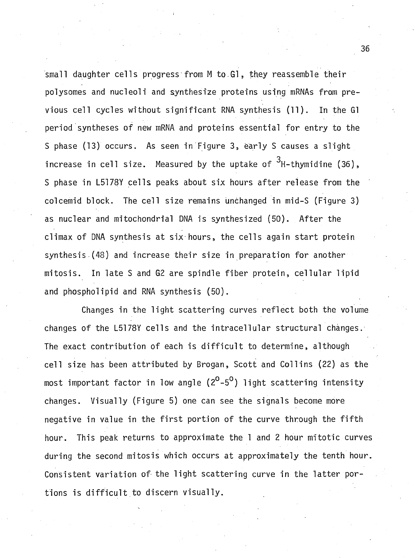small daughter cells progress from M to Gl, they reassemble their polysomes and nucleoli and synthesize proteins using mRNAs from previous cell cycles without significant RNA synthesis (11). In the Gl period syntheses of new mRNA and proteins essential for entry to the S phase (13) occurs. As seen in Figure 3, early S causes a slight **3** increase in cell size. Measured by the uptake of <sup>~</sup>H-thymidine (36), S phase in L5178Y cells peaks about six hours after release from the colcemid block. The cell size remains unchanged in mid-S (Figure 3) as nuclear and mitochondrial DNA is synthesized (50). After the climax of DNA synthesis at six hours, the cells again start protein synthesis (48) and increase their size in preparation for another mitosis. In late S and G2 are spindle fiber protein, cellular lipid and phospholipid and RNA synthesis (50).

Changes in the light scattering curves reflect both the volume changes of the L5178Y cells and the intracellular structural changes. The exact contribution of each is difficult to determine, although cell size has been attributed by Brogan, Scott and Collins (22) as the most important factor in low angle  $(2^0 - 5^0)$  light scattering intensity changes. Visually (Figure 5) one can see the signals become more negative in value in the first portion of the curve through the fifth hour. This peak returns to approximate the 1 and 2 hour mitotic curves during the second mitosis which occurs at approximately the tenth hour. Consistent variation of the light scattering curve in the latter portions is difficult to discern visually.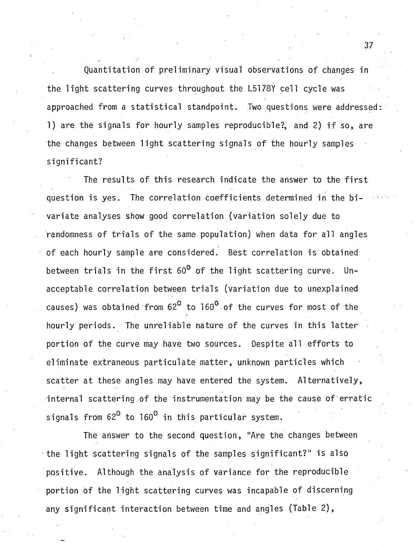Quantitation of preliminary visual observations of changes in the light scattering curves throughout the L5178Y cell cycle was approached from a statistical standpoint. Two questions were addressed: 1) are the signals for hourly samples reproducible?, and 2) if so, are the changes between light scattering signals of the hourly samples significant?

The results of this research indicate the answer to the first question is yes. The correlation coefficients determined in the bivariate analyses show good correlation (variation solely due to randomness of trials of the same population) when data for all angles of each hourly sample are considered. Best correlation is obtained between trials in the first 60<sup>0</sup> of the light scattering curve. Unacceptable correlation between trials (variation due to unexplained causes) was obtained from 62<sup>0</sup> to 160<sup>0</sup> of the curves for most of the hourly periods. The unreliable nature of the curves in this latter portion of the curve may have two sources. Despite all efforts to eliminate extraneous particulate matter, unknown particles which scatter at these angles may have entered the system. Alternatively, internal scattering of the instrumentation may be the cause of erratic signals from 62<sup>0</sup> to 160<sup>0</sup> in this particular system.

**The answer to the second question, "Are the changes between** the light scattering signals of the samples significant?" is also positive. Although the analysis of variance for the reproducible portion of the light scattering curves was incapable of discerning any significant interaction between time and angles (Table 2),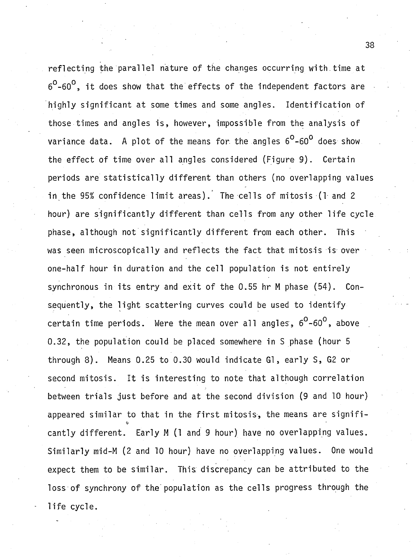reflecting the parallel nature of the changes occurring with time at  $6^{\circ}$ -60<sup>o</sup>, it does show that the effects of the independent factors are highly significant at some times and some angles. Identification of those times and angles is, however, impossible from the analysis of **variance data.** A plot of the means for the angles  $6^{\circ}$ -60<sup>°</sup> does show the effect of time over all angles considered (Figure 9). Certain periods are statistically different than others (no overlapping values in the 95% confidence limit areas). The cells of mitosis (1 and 2 hour) are significantly different than cells from any other life cycle phase, although not significantly different from each other. This was seen microscopically and reflects the fact that mitosis is over one-half hour in duration and the cell population is not entirely synchronous in its entry and exit of the 0.55 hr M phase (54). Consequently, the light scattering curves could be used to identify certain time periods. Were the mean over all angles,  $6^{\circ}$ -60<sup>0</sup>, above **0 .3 2 , the population could be placed somewhere in S phase (hour 5** through 8). Means 0.25 to 0.30 would indicate G1, early S, G2 or second mitosis. It is interesting to note that although correlation between trials just before and at the second division (9 and 10 hour) appeared similar to that in the first mitosis, the means are significantly different. Early M (1 and 9 hour) have no overlapping values. Similarly mid-M (2 and 10 hour) have no overlapping values. One would expect them to be similar. This discrepancy can be attributed to the loss of synchrony of the population as the cells progress through the life cycle.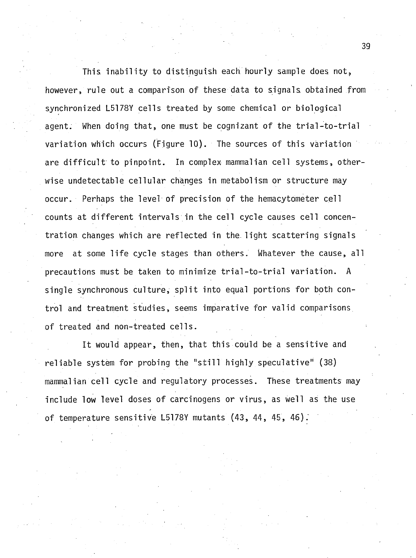This inability to distinguish each hourly sample does not, however, rule out a comparison of these data to signals obtained from synchronized L5178Y cells treated by some chemical or biological agent. When doing that, one must be cognizant of the trial-to-trial variation which occurs (Figure 10). The sources of this variation are difficult to pinpoint. In complex mammalian cell systems, otherwise undetectable cellular changes in metabolism or structure may occur. Perhaps the level of precision of the hemacytometer cell counts at different intervals in the cell cycle causes cell concentration changes which are reflected in the light scattering signals more at some life cycle stages than others. Whatever the cause, all precautions must be taken to minimize trial-to-trial variation. A single synchronous culture, split into equal portions for both control and treatment studies, seems imparative for valid comparisons of treated and non-treated cells.

It would appear, then, that this could be a sensitive and reliable system for probing the "still highly speculative" (38) mammalian cell cycle and regulatory processes. These treatments may include low level doses of carcinogens or virus, as well as the use of temperature sensitive L5178Y mutants (43, 44, 45, 46).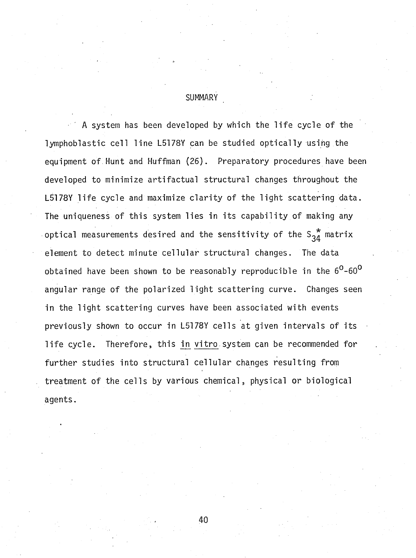**SUMMARY**

A system has been developed by which the life cycle of the lymphoblastic cell line L5178Y can be studied optically using the equipment of Hunt and Huffman (26). Preparatory procedures have been developed to minimize artifactual structural changes throughout the L5178Y life cycle and maximize clarity of the light scattering data. The uniqueness of this system lies in its capability of making any optical measurements desired and the sensitivity of the  $S_{34}^*$  matrix element to detect minute cellular structural changes. The data obtained have been shown to be reasonably reproducible in the  $6^{\circ}$ -60<sup>o</sup> angular range of the polarized light scattering curve. Changes seen in the light scattering curves have been associated with events previously shown to occur in L5178Y cells at given intervals of its life cycle. Therefore, this in vitro system can be recommended for further studies into structural cellular changes resulting from treatment of the cells by various chemical, physical or biological **agents.**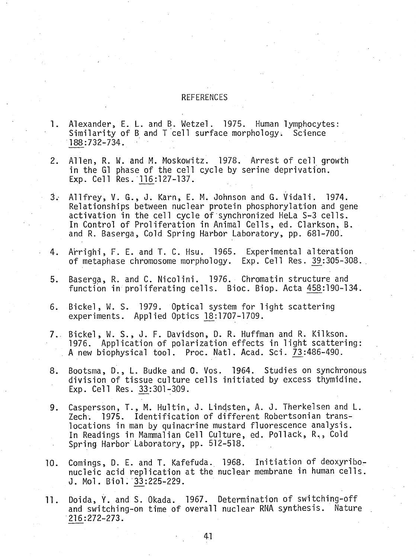#### **REFERENCES**

- **1. Alexander, E. L. and B. W etzel. 1975. Human lymphocytes:** Similarity of B and T cell surface morphology. Science **188:732-734. •**
- 2. Allen, R. W. and M. Moskowitz. 1978. Arrest of cell growth in the GI phase of the cell cycle by serine deprivation. **Exp. C ell Res. 116:127-137.**
- 3. Allfrey, V. G., J. Karn, E. M. Johnson and G. Vidali. 1974. Relationships between nuclear protein phosphorylation and gene activation in the cell cycle of synchronized HeLa S-3 cells. In Control of Proliferation in Animal Cells, ed. Clarkson, B. **and R. Baserga, Cold Spring Harbor Laboratory, pp. 681-700.**
- 4. Arrighi, F. E. and T. C. Hsu. 1965. Experimental alteration of metaphase chromosome morphology. Exp. Cell Res. 39:305-308.
- 5. Baserga, R. and C. Nicolini. 1976. Chromatin structure and function in proliferating cells. Bioc. Biop. Acta 458:190-134.
- 6. Bickel, W. S. 1979. Optical system for light scattering **experim ents. Applied Optics 18:1707-1709.**
- **7. B ic k e l, W. S . , J. F. Davidson, D. R. Huffman and R. Kilkson. 1976.** Application of polarization effects in light scattering: A new biophysical tool. Proc. Natl. Acad. Sci. 73:486-490.
- 8. Bootsma, D., L. Budke and O. Vos. 1964. Studies on synchronous division of tissue culture cells initiated by excess thymidine. **Exp. C ell Res. 33:301-309.**
- 9. Caspersson, T., M. Hultin, J. Lindsten, A. J. Therkelsen and L. Zech. 1975. Identification of different Robertsonian translocations in man by quinacrine mustard fluorescence analysis. In Readings in Mammalian Cell Culture, ed. Pollack, R<sub>1</sub>, Cold **Spring Harbor Laboratory, pp. 512-518.**
- 10. Comings, D. E. and T. Kafefuda. 1968. Initiation of deoxyribonucleic acid replication at the nuclear membrane in human cells. **J. Mol. Biol. 33:225-229.**
- 11. Doida, Y. and S. Okada. 1967. Determination of switching-off and switching-on time of overall nuclear RNA synthesis. Nature **216:272-273.**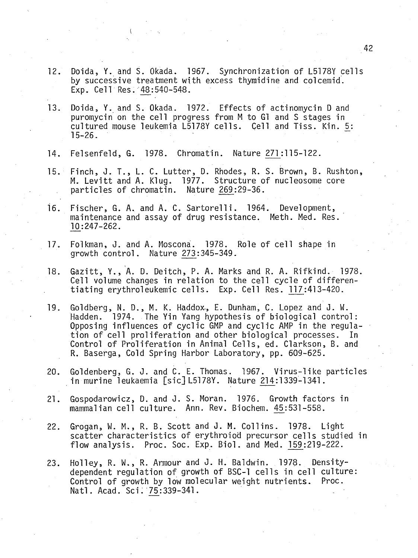- 12. Doida, Y. and S. Okada. 1967. Synchronization of L5178Y cells by successive treatment with excess thymidine and colcemid. **Exp. Cell Res. 48:540-548.**
- 13. Doida, Y. and S. Okada. 1972. Effects of actinomycin D and puromycin on the cell progress from M to Gl and S stages in **cultu red mouse leukemia L5178Y c e lls . Cell and T is s . Kin. 5^: 15-26.**
- 14. Felsenfeld, G. 1978. Chromatin. Nature 271:115-122.

**I**

- 15. Finch, J. T., L. C. Lutter, D. Rhodes, R. S. Brown, B. Rushton, M. Levitt and A. Klug. 1977. Structure of nucleosome core particles of chromatin. Nature 269:29-36.
- 16. Fischer, G. A. and A. C. Sartorelli. 1964. Development, maintenance and assay of drug resistance. Meth. Med. Res. **10:247-262.**
- 17. Folkman, J. and A. Moscona. 1978. Role of cell shape in growth control. Nature 273:345-349.
- 18. Gazitt, Y., A. D. Deitch, P. A. Marks and R. A. Rifkind. 1978. Cell volume changes in relation to the cell cycle of differen**t ia tin g erythroleukem ic c e lls . Exp. C ell Res. 117:413-420.**
- 19. Goldberg, N. D., M. K. Haddox, E. Dunham, C. Lopez and J. W. Hadden. 1974. The Yin Yang hypothesis of biological control: Opposing influences of cyclic GMP and cyclic AMP in the regulation of cell proliferation and other biological processes. In Control of Proliferation in Animal Cells, ed. Clarkson, B. and **R. Baserga, Cold Spring Harbor Laboratory, pp. 609-625.**
- 20. Goldenberg, G. J. and C. E. Thomas. 1967. Virus-like particles **in murine leukaemia [s ic ] LSI78Y. Nature 214:1339-1341.**
- 21. Gospodarowicz, D. and J. S. Moran. 1976. Growth factors in mammalian cell culture. Ann. Rev. Biochem. 45:531-558.
- 22. Grogan, W. M., R. B. Scott and J. M. Collins. 1978. Light scatter characteristics of erythroiod precursor cells studied in **flow a n a ly s is . Proc. Soc. Exp. B io l, and Med. 159:219-222.**
- 23. Holley, R. W., R. Armour and J. H. Baldwin. 1978. Densitydependent regulation of growth of BSC-1 cells in cell culture: Control of growth by low molecular weight nutrients. Proc. Natl. Acad. Sci. 75:339-341.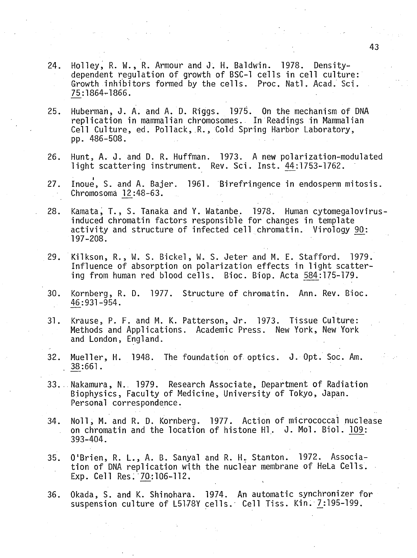- 24. Holley, R. W., R. Armour and J. H. Baldwin. 1978. Densitydependent regulation of growth of BSC-1 cells in cell culture: Growth inhibitors formed by the cells. Proc. Natl. Acad. Sci. **75:1864-1866.**
- 25. Huberman, J. A. and A. D. Riggs. 1975. On the mechanism of DNA **re p lic a tio n in mammalian chromosomes. In Readings in Mammalian** Cell Culture, ed. Pollack, R., Cold Spring Harbor Laboratory, **pp. 486-508.**
- 26. Hunt, A. J. and D. R. Huffman. 1973. A new polarization-modulated light scattering instrument. Rev. Sci. Inst. 44:1753-1762.
- 27. Inoue, S. and A. Bajer. 1961. Birefringence in endosperm mitosis. **Chromosoma 12:48-63.**
- 28. Kamata, T., S. Tanaka and Y. Watanbe. 1978. Human cytomegalovirusinduced chromatin factors responsible for changes in template activity and structure of infected cell chromatin. Virology 90: **197-208.**
- 29. Kilkson, R., W. S. Bickel, W. S. Jeter and M. E. Stafford. 1979. Influence of absorption on polarization effects in light scattering from human red blood cells. Bioc. Biop. Acta 584:175-179.
- 30. Kornberg, R. D. 1977. Structure of chromatin. Ann. Rev. Bioc. **46:931-954.**
- 31. Krause, P. F. and M. K. Patterson, Jr. 1973. Tissue Culture: Methods and Applications. Academic Press. New York, New York **and London, England.**
- 32. Mueller, H. 1948. The foundation of optics. J. Opt. Soc. Am. **. 38:661.**
- **33. Nakamura, N. 1979. Research Associate, Department of Radiation** Biophysics, Faculty of Medicine, University of Tokyo, Japan. **Personal correspondence.**
- 34. Noll, M. and R. D. Kornberg. 1977. Action of micrococcal nuclease on chromatin and the location of histone Hl. J. Mol. Biol. 109: **393-404.**
- **35. O 'B rien , R. L . , A. B. Sanya! and R. H. Stanton.** 1972. **Associa**tion of DNA replication with the nuclear membrane of HeLa Cells. Exp. Cell Res. 70:106-112.
- 36. Okada, S. and K. Shinohara. 1974. An automatic synchronizer for suspension culture of L5178Y cells. Cell Tiss. Kin. 7:195-199.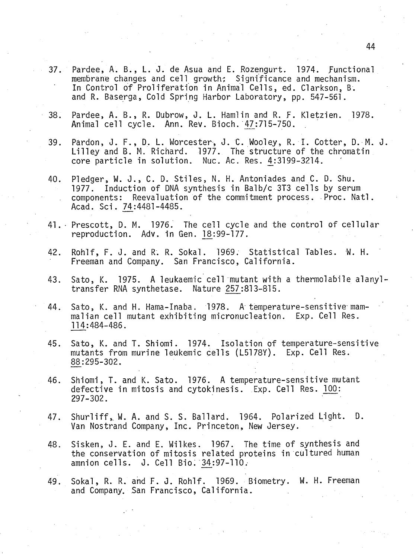- Pardee, A. B., L. J. de Asua and E. Rozengurt. 1974. Functional  $37.$ membrane changes and cell growth: Significance and mechanism. In Control of Proliferation in Animal Cells, ed. Clarkson, B. and R. Baserga, Cold Spring Harbor Laboratory, pp. 547-561.
- Pardee, A. B., R. Dubrow, J. L. Hamlin and R. F. Kletzien. 1978.  $38.$ Animal cell cycle. Ann. Rev. Bioch. 47:715-750.
- Pardon, J. F., D. L. Worcester, J. C. Wooley, R. I. Cotter, D. M. J.  $39.$ Lilley and B. M. Richard. 1977. The structure of the chromatin core particle in solution. Nuc. Ac. Res. 4:3199-3214.
- Pledger, W. J., C. D. Stiles, N. H. Antoniades and C. D. Shu.  $40.$ 1977. Induction of DNA synthesis in Balb/c 3T3 cells by serum components: Reevaluation of the commitment process. Proc. Natl. Acad. Sci. 74:4481-4485.
- 41. Prescott, D. M. 1976. The cell cycle and the control of cellular reproduction. Adv. in Gen. 18:99-177.
- Rohlf, F. J. and R. R. Sokal. 1969. Statistical Tables. W. H. 42. Freeman and Company. San Francisco, California.
- Sato, K. 1975. A leukaemic cell mutant with a thermolabile alanyl-43. transfer RNA synthetase. Nature 257:813-815.
- Sato, K. and H. Hama-Inaba. 1978. A temperature-sensitive mam-44. malian cell mutant exhibiting micronucleation. Exp. Cell Res. 114:484-486.
- Sato, K. and T. Shiomi. 1974. Isolation of temperature-sensitive 45. mutants from murine leukemic cells (L5178Y). Exp. Cell Res. 88:295-302.
- Shiomi, T. and K. Sato. 1976. A temperature-sensitive mutant 46. defective in mitosis and cytokinesis. Exp. Cell Res. 100:  $297 - 302$ .
- Shurliff, W. A. and S. S. Ballard. 1964. Polarized Light. D. 47. Van Nostrand Company, Inc. Princeton, New Jersey.
- Sisken, J. E. and E. Wilkes. 1967. The time of synthesis and 48. the conservation of mitosis related proteins in cultured human amnion cells. J. Cell Bio. 34:97-110.
- Sokal, R. R. and F. J. Rohlf. 1969. Biometry. W. H. Freeman 49. and Company. San Francisco, California.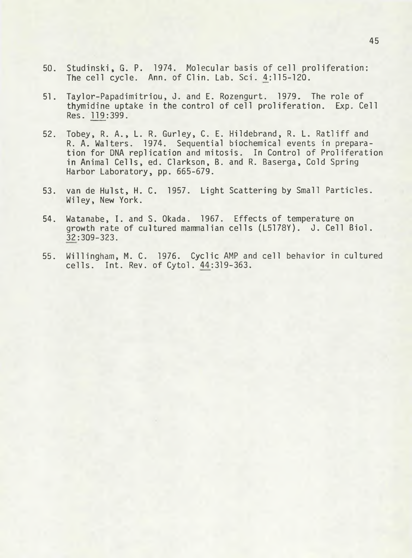- **50.** Studinski, G. P. 1974. Molecular basis of cell proliferation: The cell cycle. Ann. of Clin. Lab. Sci. 4:115-120.
- 51. Taylor-Papadimitriou, J. and E. Rozengurt. 1979. The role of thymidine uptake in the control of cell proliferation. Exp. Cell **Res. 119:399.**
- 52. Tobey, R. A., L. R. Gurley, C. E. Hildebrand, R. L. Ratliff and R. A. Walters. 1974. Sequential biochemical events in preparation for DNA replication and mitosis. In Control of Proliferation in Animal Cells, ed. Clarkson, B. and R. Baserga, Cold Spring **Harbor Laboratory, pp. 665-679.**
- 53. van de Hulst, H. C. 1957. Light Scattering by Small Particles. **W iley, New York.**
- 54. Watanabe, I. and S. Okada. 1967. Effects of temperature on growth rate of cultured mammalian cells (L5178Y). J. Cell Biol. **32:309-323.**
- **55. W illingham , M. C. 1976. Cyclic AMP and c e ll behavior in cultured c e lls . I n t . Rev. o f C y to l. 44:319-363.**